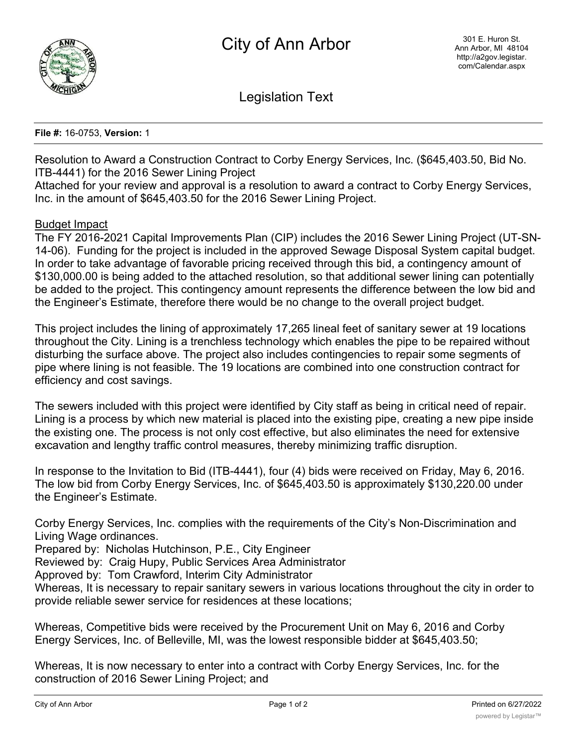

Legislation Text

## **File #:** 16-0753, **Version:** 1

Resolution to Award a Construction Contract to Corby Energy Services, Inc. (\$645,403.50, Bid No. ITB-4441) for the 2016 Sewer Lining Project

Attached for your review and approval is a resolution to award a contract to Corby Energy Services, Inc. in the amount of \$645,403.50 for the 2016 Sewer Lining Project.

## Budget Impact

The FY 2016-2021 Capital Improvements Plan (CIP) includes the 2016 Sewer Lining Project (UT-SN-14-06). Funding for the project is included in the approved Sewage Disposal System capital budget. In order to take advantage of favorable pricing received through this bid, a contingency amount of \$130,000.00 is being added to the attached resolution, so that additional sewer lining can potentially be added to the project. This contingency amount represents the difference between the low bid and the Engineer's Estimate, therefore there would be no change to the overall project budget.

This project includes the lining of approximately 17,265 lineal feet of sanitary sewer at 19 locations throughout the City. Lining is a trenchless technology which enables the pipe to be repaired without disturbing the surface above. The project also includes contingencies to repair some segments of pipe where lining is not feasible. The 19 locations are combined into one construction contract for efficiency and cost savings.

The sewers included with this project were identified by City staff as being in critical need of repair. Lining is a process by which new material is placed into the existing pipe, creating a new pipe inside the existing one. The process is not only cost effective, but also eliminates the need for extensive excavation and lengthy traffic control measures, thereby minimizing traffic disruption.

In response to the Invitation to Bid (ITB-4441), four (4) bids were received on Friday, May 6, 2016. The low bid from Corby Energy Services, Inc. of \$645,403.50 is approximately \$130,220.00 under the Engineer's Estimate.

Corby Energy Services, Inc. complies with the requirements of the City's Non-Discrimination and Living Wage ordinances.

Prepared by: Nicholas Hutchinson, P.E., City Engineer

Reviewed by: Craig Hupy, Public Services Area Administrator

Approved by: Tom Crawford, Interim City Administrator

Whereas, It is necessary to repair sanitary sewers in various locations throughout the city in order to provide reliable sewer service for residences at these locations;

Whereas, Competitive bids were received by the Procurement Unit on May 6, 2016 and Corby Energy Services, Inc. of Belleville, MI, was the lowest responsible bidder at \$645,403.50;

Whereas, It is now necessary to enter into a contract with Corby Energy Services, Inc. for the construction of 2016 Sewer Lining Project; and